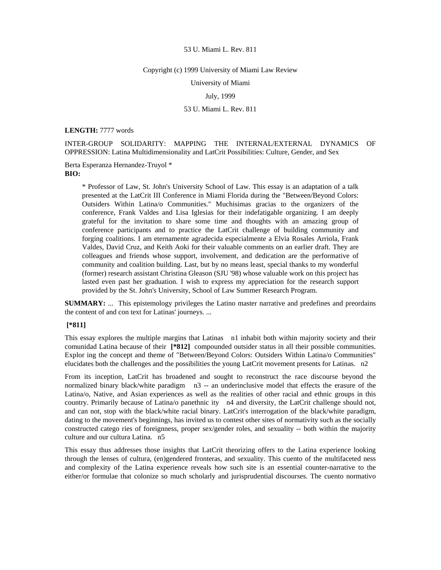### Copyright (c) 1999 University of Miami Law Review

University of Miami

July, 1999

# 53 U. Miami L. Rev. 811

**LENGTH:** 7777 words

INTER-GROUP SOLIDARITY: MAPPING THE INTERNAL/EXTERNAL DYNAMICS OF OPPRESSION: Latina Multidimensionality and LatCrit Possibilities: Culture, Gender, and Sex

Berta Esperanza Hernandez-Truyol \* **BIO:** 

> \* Professor of Law, St. John's University School of Law. This essay is an adaptation of a talk presented at the LatCrit III Conference in Miami Florida during the "Between/Beyond Colors: Outsiders Within Latina/o Communities." Muchisimas gracias to the organizers of the conference, Frank Valdes and Lisa Iglesias for their indefatigable organizing. I am deeply grateful for the invitation to share some time and thoughts with an amazing group of conference participants and to practice the LatCrit challenge of building community and forging coalitions. I am eternamente agradecida especialmente a Elvia Rosales Arriola, Frank Valdes, David Cruz, and Keith Aoki for their valuable comments on an earlier draft. They are colleagues and friends whose support, involvement, and dedication are the performative of community and coalition building. Last, but by no means least, special thanks to my wonderful (former) research assistant Christina Gleason (SJU '98) whose valuable work on this project has lasted even past her graduation. I wish to express my appreciation for the research support provided by the St. John's University, School of Law Summer Research Program.

**SUMMARY:** ... This epistemology privileges the Latino master narrative and predefines and preordains the content of and con text for Latinas' journeys. ...

# **[\*811]**

This essay explores the multiple margins that Latinas n1 inhabit both within majority society and their comunidad Latina because of their **[\*812]** compounded outsider status in all their possible communities. Explor ing the concept and theme of "Between/Beyond Colors: Outsiders Within Latina/o Communities" elucidates both the challenges and the possibilities the young LatCrit movement presents for Latinas. n2

From its inception, LatCrit has broadened and sought to reconstruct the race discourse beyond the normalized binary black/white paradigm n3 -- an underinclusive model that effects the erasure of the Latina/o, Native, and Asian experiences as well as the realities of other racial and ethnic groups in this country. Primarily because of Latina/o panethnic ity n4 and diversity, the LatCrit challenge should not, and can not, stop with the black/white racial binary. LatCrit's interrogation of the black/white paradigm, dating to the movement's beginnings, has invited us to contest other sites of normativity such as the socially constructed catego ries of foreignness, proper sex/gender roles, and sexuality -- both within the majority culture and our cultura Latina. n5

This essay thus addresses those insights that LatCrit theorizing offers to the Latina experience looking through the lenses of cultura, (en)gendered fronteras, and sexuality. This cuento of the multifaceted ness and complexity of the Latina experience reveals how such site is an essential counter-narrative to the either/or formulae that colonize so much scholarly and jurisprudential discourses. The cuento normativo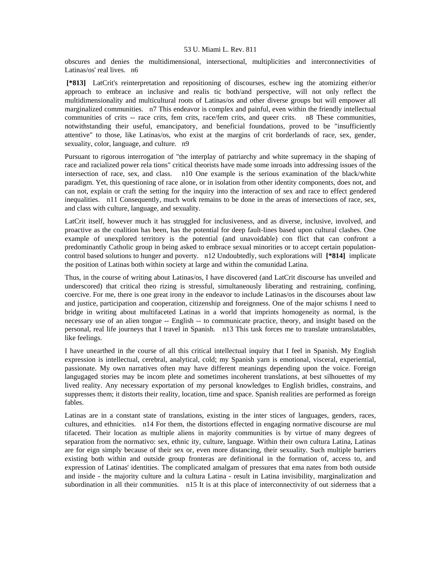obscures and denies the multidimensional, intersectional, multiplicities and interconnectivities of Latinas/os' real lives. n6

 **[\*813]** LatCrit's reinterpretation and repositioning of discourses, eschew ing the atomizing either/or approach to embrace an inclusive and realis tic both/and perspective, will not only reflect the multidimensionality and multicultural roots of Latinas/os and other diverse groups but will empower all marginalized communities. n7 This endeavor is complex and painful, even within the friendly intellectual communities of crits -- race crits, fem crits, race/fem crits, and queer crits. n8 These communities, notwithstanding their useful, emancipatory, and beneficial foundations, proved to be "insufficiently attentive" to those, like Latinas/os, who exist at the margins of crit borderlands of race, sex, gender, sexuality, color, language, and culture. n9

Pursuant to rigorous interrogation of "the interplay of patriarchy and white supremacy in the shaping of race and racialized power rela tions" critical theorists have made some inroads into addressing issues of the intersection of race, sex, and class. n10 One example is the serious examination of the black/white paradigm. Yet, this questioning of race alone, or in isolation from other identity components, does not, and can not, explain or craft the setting for the inquiry into the interaction of sex and race to effect gendered inequalities. n11 Consequently, much work remains to be done in the areas of intersections of race, sex, and class with culture, language, and sexuality.

LatCrit itself, however much it has struggled for inclusiveness, and as diverse, inclusive, involved, and proactive as the coalition has been, has the potential for deep fault-lines based upon cultural clashes. One example of unexplored territory is the potential (and unavoidable) con flict that can confront a predominantly Catholic group in being asked to embrace sexual minorities or to accept certain populationcontrol based solutions to hunger and poverty. n12 Undoubtedly, such explorations will **[\*814]** implicate the position of Latinas both within society at large and within the comunidad Latina.

Thus, in the course of writing about Latinas/os, I have discovered (and LatCrit discourse has unveiled and underscored) that critical theo rizing is stressful, simultaneously liberating and restraining, confining, coercive. For me, there is one great irony in the endeavor to include Latinas/os in the discourses about law and justice, participation and cooperation, citizenship and foreignness. One of the major schisms I need to bridge in writing about multifaceted Latinas in a world that imprints homogeneity as normal, is the necessary use of an alien tongue -- English -- to communicate practice, theory, and insight based on the personal, real life journeys that I travel in Spanish. n13 This task forces me to translate untranslatables, like feelings.

I have unearthed in the course of all this critical intellectual inquiry that I feel in Spanish. My English expression is intellectual, cerebral, analytical, cold; my Spanish yarn is emotional, visceral, experiential, passionate. My own narratives often may have different meanings depending upon the voice. Foreign langugaged stories may be incom plete and sometimes incoherent translations, at best silhouettes of my lived reality. Any necessary exportation of my personal knowledges to English bridles, constrains, and suppresses them; it distorts their reality, location, time and space. Spanish realities are performed as foreign fables.

Latinas are in a constant state of translations, existing in the inter stices of languages, genders, races, cultures, and ethnicities. n14 For them, the distortions effected in engaging normative discourse are mul tifaceted. Their location as multiple aliens in majority communities is by virtue of many degrees of separation from the normativo: sex, ethnic ity, culture, language. Within their own cultura Latina, Latinas are for eign simply because of their sex or, even more distancing, their sexuality. Such multiple barriers existing both within and outside group fronteras are definitional in the formation of, access to, and expression of Latinas' identities. The complicated amalgam of pressures that ema nates from both outside and inside - the majority culture and la cultura Latina - result in Latina invisibility, marginalization and subordination in all their communities. n15 It is at this place of interconnectivity of out siderness that a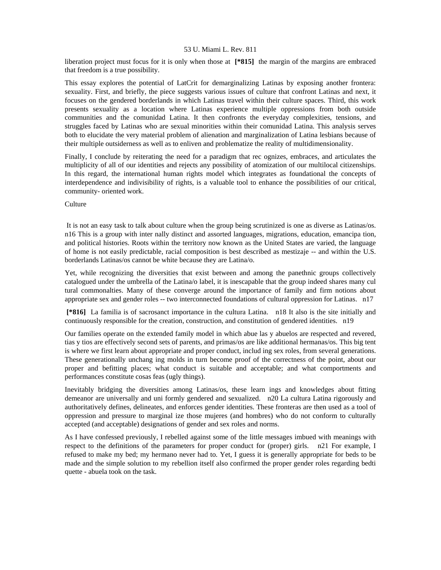liberation project must focus for it is only when those at **[\*815]** the margin of the margins are embraced that freedom is a true possibility.

This essay explores the potential of LatCrit for demarginalizing Latinas by exposing another frontera: sexuality. First, and briefly, the piece suggests various issues of culture that confront Latinas and next, it focuses on the gendered borderlands in which Latinas travel within their culture spaces. Third, this work presents sexuality as a location where Latinas experience multiple oppressions from both outside communities and the comunidad Latina. It then confronts the everyday complexities, tensions, and struggles faced by Latinas who are sexual minorities within their comunidad Latina. This analysis serves both to elucidate the very material problem of alienation and marginalization of Latina lesbians because of their multiple outsiderness as well as to enliven and problematize the reality of multidimensionality.

Finally, I conclude by reiterating the need for a paradigm that rec ognizes, embraces, and articulates the multiplicity of all of our identities and rejects any possibility of atomization of our multilocal citizenships. In this regard, the international human rights model which integrates as foundational the concepts of interdependence and indivisibility of rights, is a valuable tool to enhance the possibilities of our critical, community- oriented work.

Culture

 It is not an easy task to talk about culture when the group being scrutinized is one as diverse as Latinas/os. n16 This is a group with inter nally distinct and assorted languages, migrations, education, emancipa tion, and political histories. Roots within the territory now known as the United States are varied, the language of home is not easily predictable, racial composition is best described as mestizaje -- and within the U.S. borderlands Latinas/os cannot be white because they are Latina/o.

Yet, while recognizing the diversities that exist between and among the panethnic groups collectively catalogued under the umbrella of the Latina/o label, it is inescapable that the group indeed shares many cul tural commonalties. Many of these converge around the importance of family and firm notions about appropriate sex and gender roles -- two interconnected foundations of cultural oppression for Latinas. n17

 **[\*816]** La familia is of sacrosanct importance in the cultura Latina. n18 It also is the site initially and continuously responsible for the creation, construction, and constitution of gendered identities. n19

Our families operate on the extended family model in which abue las y abuelos are respected and revered, tias y tios are effectively second sets of parents, and primas/os are like additional hermanas/os. This big tent is where we first learn about appropriate and proper conduct, includ ing sex roles, from several generations. These generationally unchang ing molds in turn become proof of the correctness of the point, about our proper and befitting places; what conduct is suitable and acceptable; and what comportments and performances constitute cosas feas (ugly things).

Inevitably bridging the diversities among Latinas/os, these learn ings and knowledges about fitting demeanor are universally and uni formly gendered and sexualized. n20 La cultura Latina rigorously and authoritatively defines, delineates, and enforces gender identities. These fronteras are then used as a tool of oppression and pressure to marginal ize those mujeres (and hombres) who do not conform to culturally accepted (and acceptable) designations of gender and sex roles and norms.

As I have confessed previously, I rebelled against some of the little messages imbued with meanings with respect to the definitions of the parameters for proper conduct for (proper) girls. n21 For example, I refused to make my bed; my hermano never had to. Yet, I guess it is generally appropriate for beds to be made and the simple solution to my rebellion itself also confirmed the proper gender roles regarding bedti quette - abuela took on the task.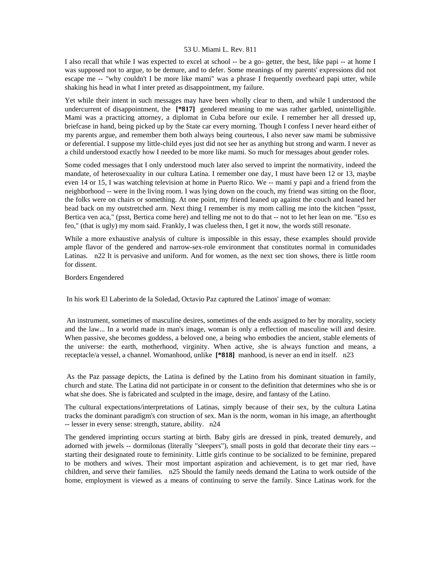I also recall that while I was expected to excel at school -- be a go- getter, the best, like papi -- at home I was supposed not to argue, to be demure, and to defer. Some meanings of my parents' expressions did not escape me -- "why couldn't I be more like mami" was a phrase I frequently overheard papi utter, while shaking his head in what I inter preted as disappointment, my failure.

Yet while their intent in such messages may have been wholly clear to them, and while I understood the undercurrent of disappointment, the **[\*817]** gendered meaning to me was rather garbled, unintelligible. Mami was a practicing attorney, a diplomat in Cuba before our exile. I remember her all dressed up, briefcase in hand, being picked up by the State car every morning. Though I confess I never heard either of my parents argue, and remember them both always being courteous, I also never saw mami be submissive or deferential. I suppose my little-child eyes just did not see her as anything but strong and warm. I never as a child understood exactly how I needed to be more like mami. So much for messages about gender roles.

Some coded messages that I only understood much later also served to imprint the normativity, indeed the mandate, of heterosexuality in our cultura Latina. I remember one day, I must have been 12 or 13, maybe even 14 or 15, I was watching television at home in Puerto Rico. We -- mami y papi and a friend from the neighborhood -- were in the living room. I was lying down on the couch, my friend was sitting on the floor, the folks were on chairs or something. At one point, my friend leaned up against the couch and leaned her head back on my outstretched arm. Next thing I remember is my mom calling me into the kitchen "pssst, Bertica ven aca," (psst, Bertica come here) and telling me not to do that -- not to let her lean on me. "Eso es feo," (that is ugly) my mom said. Frankly, I was clueless then, I get it now, the words still resonate.

While a more exhaustive analysis of culture is impossible in this essay, these examples should provide ample flavor of the gendered and narrow-sex-role environment that constitutes normal in comunidades Latinas. n22 It is pervasive and uniform. And for women, as the next sec tion shows, there is little room for dissent.

# Borders Engendered

In his work El Laberinto de la Soledad, Octavio Paz captured the Latinos' image of woman:

 An instrument, sometimes of masculine desires, sometimes of the ends assigned to her by morality, society and the law... In a world made in man's image, woman is only a reflection of masculine will and desire. When passive, she becomes goddess, a beloved one, a being who embodies the ancient, stable elements of the universe: the earth, motherhood, virginity. When active, she is always function and means, a receptacle/a vessel, a channel. Womanhood, unlike **[\*818]** manhood, is never an end in itself. n23

 As the Paz passage depicts, the Latina is defined by the Latino from his dominant situation in family, church and state. The Latina did not participate in or consent to the definition that determines who she is or what she does. She is fabricated and sculpted in the image, desire, and fantasy of the Latino.

The cultural expectations/interpretations of Latinas, simply because of their sex, by the cultura Latina tracks the dominant paradigm's con struction of sex. Man is the norm, woman in his image, an afterthought -- lesser in every sense: strength, stature, ability. n24

The gendered imprinting occurs starting at birth. Baby girls are dressed in pink, treated demurely, and adorned with jewels -- dormilonas (literally "sleepers"), small posts in gold that decorate their tiny ears - starting their designated route to femininity. Little girls continue to be socialized to be feminine, prepared to be mothers and wives. Their most important aspiration and achievement, is to get mar ried, have children, and serve their families. n25 Should the family needs demand the Latina to work outside of the home, employment is viewed as a means of continuing to serve the family. Since Latinas work for the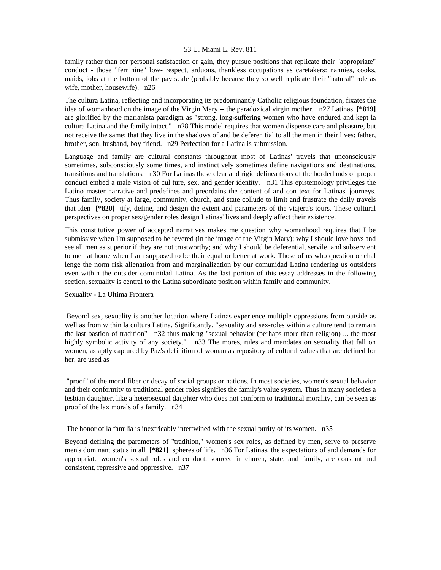family rather than for personal satisfaction or gain, they pursue positions that replicate their "appropriate" conduct - those "feminine" low- respect, arduous, thankless occupations as caretakers: nannies, cooks, maids, jobs at the bottom of the pay scale (probably because they so well replicate their "natural" role as wife, mother, housewife). n26

The cultura Latina, reflecting and incorporating its predominantly Catholic religious foundation, fixates the idea of womanhood on the image of the Virgin Mary -- the paradoxical virgin mother. n27 Latinas **[\*819]**  are glorified by the marianista paradigm as "strong, long-suffering women who have endured and kept la cultura Latina and the family intact." n28 This model requires that women dispense care and pleasure, but not receive the same; that they live in the shadows of and be deferen tial to all the men in their lives: father, brother, son, husband, boy friend. n29 Perfection for a Latina is submission.

Language and family are cultural constants throughout most of Latinas' travels that unconsciously sometimes, subconsciously some times, and instinctively sometimes define navigations and destinations, transitions and translations. n30 For Latinas these clear and rigid delinea tions of the borderlands of proper conduct embed a male vision of cul ture, sex, and gender identity. n31 This epistemology privileges the Latino master narrative and predefines and preordains the content of and con text for Latinas' journeys. Thus family, society at large, community, church, and state collude to limit and frustrate the daily travels that iden **[\*820]** tify, define, and design the extent and parameters of the viajera's tours. These cultural perspectives on proper sex/gender roles design Latinas' lives and deeply affect their existence.

This constitutive power of accepted narratives makes me question why womanhood requires that I be submissive when I'm supposed to be revered (in the image of the Virgin Mary); why I should love boys and see all men as superior if they are not trustworthy; and why I should be deferential, servile, and subservient to men at home when I am supposed to be their equal or better at work. Those of us who question or chal lenge the norm risk alienation from and marginalization by our comunidad Latina rendering us outsiders even within the outsider comunidad Latina. As the last portion of this essay addresses in the following section, sexuality is central to the Latina subordinate position within family and community.

### Sexuality - La Ultima Frontera

 Beyond sex, sexuality is another location where Latinas experience multiple oppressions from outside as well as from within la cultura Latina. Significantly, "sexuality and sex-roles within a culture tend to remain the last bastion of tradition" n32 thus making "sexual behavior (perhaps more than religion) ... the most highly symbolic activity of any society." n33 The mores, rules and mandates on sexuality that fall on women, as aptly captured by Paz's definition of woman as repository of cultural values that are defined for her, are used as

 "proof" of the moral fiber or decay of social groups or nations. In most societies, women's sexual behavior and their conformity to traditional gender roles signifies the family's value system. Thus in many societies a lesbian daughter, like a heterosexual daughter who does not conform to traditional morality, can be seen as proof of the lax morals of a family. n34

The honor of la familia is inextricably intertwined with the sexual purity of its women. n35

Beyond defining the parameters of "tradition," women's sex roles, as defined by men, serve to preserve men's dominant status in all **[\*821]** spheres of life. n36 For Latinas, the expectations of and demands for appropriate women's sexual roles and conduct, sourced in church, state, and family, are constant and consistent, repressive and oppressive. n37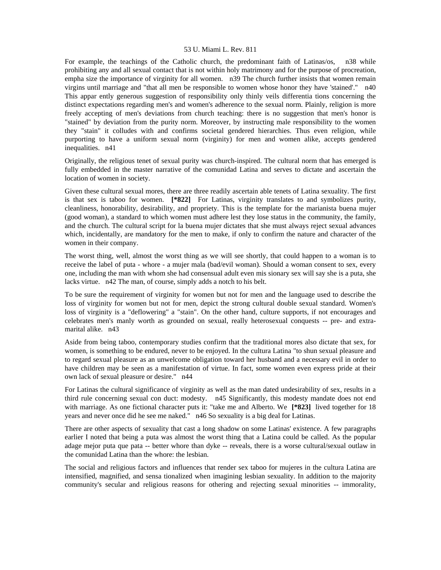For example, the teachings of the Catholic church, the predominant faith of Latinas/os, n38 while prohibiting any and all sexual contact that is not within holy matrimony and for the purpose of procreation, empha size the importance of virginity for all women. n39 The church further insists that women remain virgins until marriage and "that all men be responsible to women whose honor they have 'stained'." n40 This appar ently generous suggestion of responsibility only thinly veils differentia tions concerning the distinct expectations regarding men's and women's adherence to the sexual norm. Plainly, religion is more freely accepting of men's deviations from church teaching: there is no suggestion that men's honor is "stained" by deviation from the purity norm. Moreover, by instructing male responsibility to the women they "stain" it colludes with and confirms societal gendered hierarchies. Thus even religion, while purporting to have a uniform sexual norm (virginity) for men and women alike, accepts gendered inequalities. n41

Originally, the religious tenet of sexual purity was church-inspired. The cultural norm that has emerged is fully embedded in the master narrative of the comunidad Latina and serves to dictate and ascertain the location of women in society.

Given these cultural sexual mores, there are three readily ascertain able tenets of Latina sexuality. The first is that sex is taboo for women. **[\*822]** For Latinas, virginity translates to and symbolizes purity, cleanliness, honorability, desirability, and propriety. This is the template for the marianista buena mujer (good woman), a standard to which women must adhere lest they lose status in the community, the family, and the church. The cultural script for la buena mujer dictates that she must always reject sexual advances which, incidentally, are mandatory for the men to make, if only to confirm the nature and character of the women in their company.

The worst thing, well, almost the worst thing as we will see shortly, that could happen to a woman is to receive the label of puta - whore - a mujer mala (bad/evil woman). Should a woman consent to sex, every one, including the man with whom she had consensual adult even mis sionary sex will say she is a puta, she lacks virtue. n42 The man, of course, simply adds a notch to his belt.

To be sure the requirement of virginity for women but not for men and the language used to describe the loss of virginity for women but not for men, depict the strong cultural double sexual standard. Women's loss of virginity is a "deflowering" a "stain". On the other hand, culture supports, if not encourages and celebrates men's manly worth as grounded on sexual, really heterosexual conquests -- pre- and extramarital alike. n43

Aside from being taboo, contemporary studies confirm that the traditional mores also dictate that sex, for women, is something to be endured, never to be enjoyed. In the cultura Latina "to shun sexual pleasure and to regard sexual pleasure as an unwelcome obligation toward her husband and a necessary evil in order to have children may be seen as a manifestation of virtue. In fact, some women even express pride at their own lack of sexual pleasure or desire." n44

For Latinas the cultural significance of virginity as well as the man dated undesirability of sex, results in a third rule concerning sexual con duct: modesty. n45 Significantly, this modesty mandate does not end with marriage. As one fictional character puts it: "take me and Alberto. We **[\*823]** lived together for 18 years and never once did he see me naked." n46 So sexuality is a big deal for Latinas.

There are other aspects of sexuality that cast a long shadow on some Latinas' existence. A few paragraphs earlier I noted that being a puta was almost the worst thing that a Latina could be called. As the popular adage mejor puta que pata -- better whore than dyke -- reveals, there is a worse cultural/sexual outlaw in the comunidad Latina than the whore: the lesbian.

The social and religious factors and influences that render sex taboo for mujeres in the cultura Latina are intensified, magnified, and sensa tionalized when imagining lesbian sexuality. In addition to the majority community's secular and religious reasons for othering and rejecting sexual minorities -- immorality,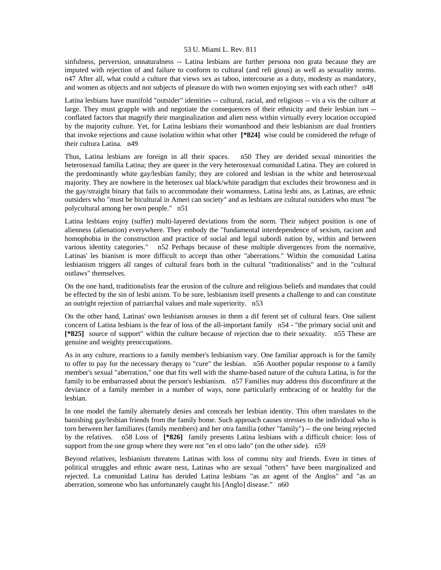sinfulness, perversion, unnaturalness -- Latina lesbians are further persona non grata because they are imputed with rejection of and failure to conform to cultural (and reli gious) as well as sexuality norms. n47 After all, what could a culture that views sex as taboo, intercourse as a duty, modesty as mandatory, and women as objects and not subjects of pleasure do with two women enjoying sex with each other? n48

Latina lesbians have manifold "outsider" identities -- cultural, racial, and religious -- vis a vis the culture at large. They must grapple with and negotiate the consequences of their ethnicity and their lesbian ism - conflated factors that magnify their marginalization and alien ness within virtually every location occupied by the majority culture. Yet, for Latina lesbians their womanhood and their lesbianism are dual frontiers that invoke rejections and cause isolation within what other **[\*824]** wise could be considered the refuge of their cultura Latina. n49

Thus, Latina lesbians are foreign in all their spaces. n50 They are derided sexual minorities the heterosexual familia Latina; they are queer in the very heterosexual comunidad Latina. They are colored in the predominantly white gay/lesbian family; they are colored and lesbian in the white and heterosexual majority. They are nowhere in the heterosex ual black/white paradigm that excludes their brownness and in the gay/straight binary that fails to accommodate their womanness. Latina lesbi ans, as Latinas, are ethnic outsiders who "must be bicultural in Ameri can society" and as lesbians are cultural outsiders who must "be polycultural among her own people." n51

Latina lesbians enjoy (suffer) multi-layered deviations from the norm. Their subject position is one of alienness (alienation) everywhere. They embody the "fundamental interdependence of sexism, racism and homophobia in the construction and practice of social and legal subordi nation by, within and between various identity categories." n52 Perhaps because of these multiple divergences from the normative, Latinas' les bianism is more difficult to accept than other "aberrations." Within the comunidad Latina lesbianism triggers all ranges of cultural fears both in the cultural "traditionalists" and in the "cultural outlaws" themselves.

On the one hand, traditionalists fear the erosion of the culture and religious beliefs and mandates that could be effected by the sin of lesbi anism. To be sure, lesbianism itself presents a challenge to and can constitute an outright rejection of patriarchal values and male superiority. n53

On the other hand, Latinas' own lesbianism arouses in them a dif ferent set of cultural fears. One salient concern of Latina lesbians is the fear of loss of the all-important family n54 - "the primary social unit and **[\*825]** source of support" within the culture because of rejection due to their sexuality. n55 These are genuine and weighty preoccupations.

As in any culture, reactions to a family member's lesbianism vary. One familiar approach is for the family to offer to pay for the necessary therapy to "cure" the lesbian. n56 Another popular response to a family member's sexual "aberration," one that fits well with the shame-based nature of the cultura Latina, is for the family to be embarrassed about the person's lesbianism. n57 Families may address this discomfiture at the deviance of a family member in a number of ways, none particularly embracing of or healthy for the lesbian.

In one model the family alternately denies and conceals her lesbian identity. This often translates to the banishing gay/lesbian friends from the family home. Such approach causes stresses to the individual who is torn between her familiares (family members) and her otra familia (other "family") -- the one being rejected by the relatives. n58 Loss of **[\*826]** family presents Latina lesbians with a difficult choice: loss of support from the one group where they were not "en el otro lado" (on the other side). n59

Beyond relatives, lesbianism threatens Latinas with loss of commu nity and friends. Even in times of political struggles and ethnic aware ness, Latinas who are sexual "others" have been marginalized and rejected. La comunidad Latina has derided Latina lesbians "as an agent of the Anglos" and "as an aberration, someone who has unfortunately caught his [Anglo] disease." n60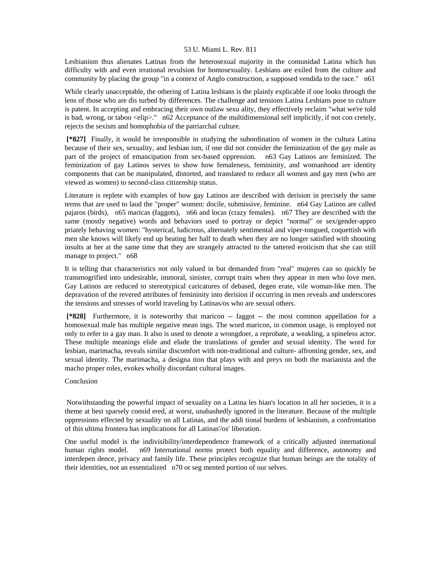Lesbianism thus alienates Latinas from the heterosexual majority in the comunidad Latina which has difficulty with and even irrational revulsion for homosexuality. Lesbians are exiled from the culture and community by placing the group "in a context of Anglo construction, a supposed vendida to the race." n61

While clearly unacceptable, the othering of Latina lesbians is the plainly explicable if one looks through the lens of those who are dis turbed by differences. The challenge and tensions Latina Lesbians pose to culture is patent. In accepting and embracing their own outlaw sexu ality, they effectively reclaim "what we're told is bad, wrong, or taboo <elip>." n62 Acceptance of the multidimensional self implicitly, if not con cretely, rejects the sexism and homophobia of the patriarchal culture.

 **[\*827]** Finally, it would be irresponsible in studying the subordination of women in the cultura Latina because of their sex, sexuality, and lesbian ism, if one did not consider the feminization of the gay male as part of the project of emancipation from sex-based oppression. n63 Gay Latinos are feminized. The feminization of gay Latinos serves to show how femaleness, femininity, and womanhood are identity components that can be manipulated, distorted, and translated to reduce all women and gay men (who are viewed as women) to second-class citizenship status.

Literature is replete with examples of how gay Latinos are described with derision in precisely the same terms that are used to laud the "proper" women: docile, submissive, feminine. n64 Gay Latinos are called pajaros (birds), n65 maricas (faggots), n66 and locas (crazy females). n67 They are described with the same (mostly negative) words and behaviors used to portray or depict "normal" or sex/gender-appro priately behaving women: "hysterical, ludicrous, alternately sentimental and viper-tongued, coquettish with men she knows will likely end up beating her half to death when they are no longer satisfied with shouting insults at her at the same time that they are strangely attracted to the tattered eroticism that she can still manage to project." n68

It is telling that characteristics not only valued in but demanded from "real" mujeres can so quickly be transmogrified into undesirable, immoral, sinister, corrupt traits when they appear in men who love men. Gay Latinos are reduced to stereotypical caricatures of debased, degen erate, vile woman-like men. The depravation of the revered attributes of femininity into derision if occurring in men reveals and underscores the tensions and stresses of world traveling by Latinas/os who are sexual others.

 **[\*828]** Furthermore, it is noteworthy that maricon -- faggot -- the most common appellation for a homosexual male has multiple negative mean ings. The word maricon, in common usage, is employed not only to refer to a gay man. It also is used to denote a wrongdoer, a reprobate, a weakling, a spineless actor. These multiple meanings elide and elude the translations of gender and sexual identity. The word for lesbian, marimacha, reveals similar discomfort with non-traditional and culture- affronting gender, sex, and sexual identity. The marimacha, a designa tion that plays with and preys on both the marianista and the macho proper roles, evokes wholly discordant cultural images.

# Conclusion

 Notwithstanding the powerful impact of sexuality on a Latina les bian's location in all her societies, it is a theme at best sparsely consid ered, at worst, unabashedly ignored in the literature. Because of the multiple oppressions effected by sexuality on all Latinas, and the addi tional burdens of lesbianism, a confrontation of this ultima frontera has implications for all Latinas'/os' liberation.

One useful model is the indivisibility/interdependence framework of a critically adjusted international human rights model. n69 International norms protect both equality and difference, autonomy and interdepen dence, privacy and family life. These principles recognize that human beings are the totality of their identities, not an essentialized n70 or seg mented portion of our selves.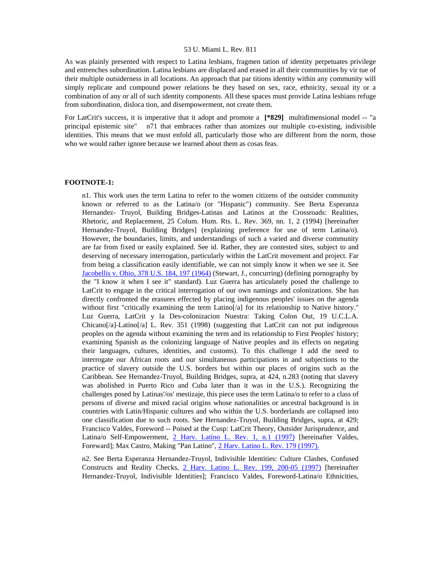As was plainly presented with respect to Latina lesbians, fragmen tation of identity perpetuates privilege and entrenches subordination. Latina lesbians are displaced and erased in all their communities by vir tue of their multiple outsiderness in all locations. An approach that par titions identity within any community will simply replicate and compound power relations be they based on sex, race, ethnicity, sexual ity or a combination of any or all of such identity components. All these spaces must provide Latina lesbians refuge from subordination, disloca tion, and disempowerment, not create them.

For LatCrit's success, it is imperative that it adopt and promote a **[\*829]** multidimensional model -- "a principal epistemic site" n71 that embraces rather than atomizes our multiple co-existing, indivisible identities. This means that we must enfold all, particularly those who are different from the norm, those who we would rather ignore because we learned about them as cosas feas.

## **FOOTNOTE-1:**

n1. This work uses the term Latina to refer to the women citizens of the outsider community known or referred to as the Latina/o (or "Hispanic") community. See Berta Esperanza Hernandez- Truyol, Building Bridges-Latinas and Latinos at the Crossroads: Realities, Rhetoric, and Replacement, 25 Colum. Hum. Rts. L. Rev. 369, nn. 1, 2 (1994) [hereinafter Hernandez-Truyol, Building Bridges] (explaining preference for use of term Latina/o). However, the boundaries, limits, and understandings of such a varied and diverse community are far from fixed or easily explained. See id. Rather, they are contested sites, subject to and deserving of necessary interrogation, particularly within the LatCrit movement and project. Far from being a classification easily identifiable, we can not simply know it when we see it. See [Jacobellis v. Ohio, 378 U.S. 184, 197 \(1964\)](http://www.lexis.com/research/xlink?searchtype=get&search=378%20U.S.%20184,at%20197) (Stewart, J., concurring) (defining pornography by the "I know it when I see it" standard). Luz Guerra has articulately posed the challenge to LatCrit to engage in the critical interrogation of our own namings and colonizations. She has directly confronted the erasures effected by placing indigenous peoples' issues on the agenda without first "critically examining the term Latino<sup>[/a]</sup> for its relationship to Native history." Luz Guerra, LatCrit y la Des-colonizacion Nuestra: Taking Colon Out, 19 U.C.L.A. Chicano[ $/a$ ]-Latino[ $/a$ ] L. Rev. 351 (1998) (suggesting that LatCrit can not put indigenous peoples on the agenda without examining the term and its relationship to First Peoples' history; examining Spanish as the colonizing language of Native peoples and its effects on negating their languages, cultures, identities, and customs). To this challenge I add the need to interrogate our African roots and our simultaneous participations in and subjections to the practice of slavery outside the U.S. borders but within our places of origins such as the Caribbean. See Hernandez-Truyol, Building Bridges, supra, at 424, n.283 (noting that slavery was abolished in Puerto Rico and Cuba later than it was in the U.S.). Recognizing the challenges posed by Latinas'/os' mestizaje, this piece uses the term Latina/o to refer to a class of persons of diverse and mixed racial origins whose nationalities or ancestral background is in countries with Latin/Hispanic cultures and who within the U.S. borderlands are collapsed into one classification due to such roots. See Hernandez-Truyol, Building Bridges, supra, at 429; Francisco Valdes, Foreword -- Poised at the Cusp: LatCrit Theory, Outsider Jurisprudence, and Latina/o Self-Empowerment, [2 Harv. Latino L. Rev. 1, n.1 \(1997\)](http://www.lexis.com/research/xlink?searchtype=get&search=2%20Harv.%20Latino%20L.%20Rev.%201) [hereinafter Valdes, Foreward]; Max Castro, Making "Pan Latino", [2 Harv. Latino L. Rev. 179 \(1997\).](http://www.lexis.com/research/xlink?searchtype=get&search=2%20Harv.%20Latino%20L.%20Rev.%20179)

n2. See Berta Esperanza Hernandez-Truyol, Indivisible Identities: Culture Clashes, Confused Constructs and Reality Checks, [2 Harv. Latino L. Rev. 199, 200-05 \(1997\)](http://www.lexis.com/research/xlink?searchtype=get&search=2%20Harv.%20Latino%20L.%20Rev.%20199,at%20200) [hereinafter Hernandez-Truyol, Indivisible Identities]; Francisco Valdes, Foreword-Latina/o Ethnicities,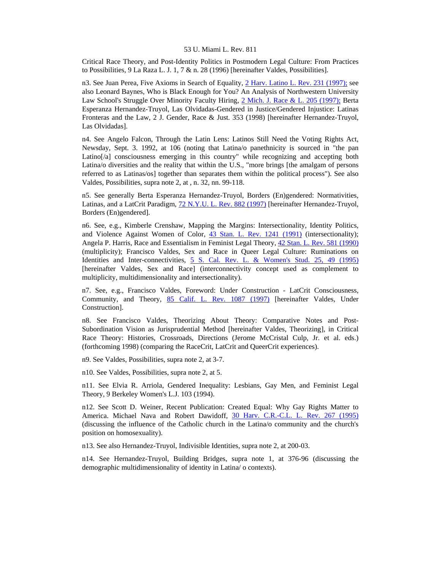Critical Race Theory, and Post-Identity Politics in Postmodern Legal Culture: From Practices to Possibilities, 9 La Raza L. J. 1, 7 & n. 28 (1996) [hereinafter Valdes, Possibilities].

n3. See Juan Perea, Five Axioms in Search of Equality, [2 Harv. Latino L. Rev. 231 \(1997\);](http://www.lexis.com/research/xlink?searchtype=get&search=2%20Harv.%20Latino%20L.%20Rev.%20231) see also Leonard Baynes, Who is Black Enough for You? An Analysis of Northwestern University Law School's Struggle Over Minority Faculty Hiring, [2 Mich. J. Race & L. 205 \(1997\);](http://www.lexis.com/research/xlink?searchtype=get&search=2%20Mich.%20J.%20Race%20%26%20L.%20205) Berta Esperanza Hernandez-Truyol, Las Olvidadas-Gendered in Justice/Gendered Injustice: Latinas Fronteras and the Law, 2 J. Gender, Race & Just. 353 (1998) [hereinafter Hernandez-Truyol, Las Olvidadas].

n4. See Angelo Falcon, Through the Latin Lens: Latinos Still Need the Voting Rights Act, Newsday, Sept. 3. 1992, at 106 (noting that Latina/o panethnicity is sourced in "the pan Latino[/a] consciousness emerging in this country" while recognizing and accepting both Latina/o diversities and the reality that within the U.S., "more brings [the amalgam of persons referred to as Latinas/os] together than separates them within the political process"). See also Valdes, Possibilities, supra note 2, at , n. 32, nn. 99-118.

n5. See generally Berta Esperanza Hernandez-Truyol, Borders (En)gendered: Normativities, Latinas, and a LatCrit Paradigm, [72 N.Y.U. L. Rev. 882 \(1997\)](http://www.lexis.com/research/xlink?searchtype=get&search=72%20N.Y.U.L.%20Rev.%20882) [hereinafter Hernandez-Truyol, Borders (En)gendered].

n6. See, e.g., Kimberle Crenshaw, Mapping the Margins: Intersectionality, Identity Politics, and Violence Against Women of Color, [43 Stan. L. Rev. 1241 \(1991\)](http://www.lexis.com/research/xlink?searchtype=get&search=43%20Stan.%20L.%20Rev.%201241) (intersectionality); Angela P. Harris, Race and Essentialism in Feminist Legal Theory, [42 Stan. L. Rev. 581 \(1990\)](http://www.lexis.com/research/xlink?searchtype=get&search=42%20Stan.%20L.%20Rev.%20581) (multiplicity); Francisco Valdes, Sex and Race in Queer Legal Culture: Ruminations on Identities and Inter-connectivities, [5 S. Cal. Rev. L. & Women's Stud. 25, 49 \(1995\)](http://www.lexis.com/research/xlink?searchtype=get&search=5%20S.%20Cal.%20Rev.%20L.%20%26%20Women) [hereinafter Valdes, Sex and Race] (interconnectivity concept used as complement to multiplicity, multidimensionality and intersectionality).

n7. See, e.g., Francisco Valdes, Foreword: Under Construction - LatCrit Consciousness, Community, and Theory, [85 Calif. L. Rev. 1087 \(1997\)](http://www.lexis.com/research/xlink?searchtype=get&search=85%20Calif.%20L.%20Rev.%201087) [hereinafter Valdes, Under Construction].

n8. See Francisco Valdes, Theorizing About Theory: Comparative Notes and Post-Subordination Vision as Jurisprudential Method [hereinafter Valdes, Theorizing], in Critical Race Theory: Histories, Crossroads, Directions (Jerome McCristal Culp, Jr. et al. eds.) (forthcoming 1998) (comparing the RaceCrit, LatCrit and QueerCrit experiences).

n9. See Valdes, Possibilities, supra note 2, at 3-7.

n10. See Valdes, Possibilities, supra note 2, at 5.

n11. See Elvia R. Arriola, Gendered Inequality: Lesbians, Gay Men, and Feminist Legal Theory, 9 Berkeley Women's L.J. 103 (1994).

n12. See Scott D. Weiner, Recent Publication: Created Equal: Why Gay Rights Matter to America. Michael Nava and Robert Dawidoff, [30 Harv. C.R.-C.L. L. Rev. 267 \(1995\)](http://www.lexis.com/research/xlink?searchtype=get&search=30%20Harv.%20C.R.-C.L.%20L.%20Rev.%20267) (discussing the influence of the Catholic church in the Latina/o community and the church's position on homosexuality).

n13. See also Hernandez-Truyol, Indivisible Identities, supra note 2, at 200-03.

n14. See Hernandez-Truyol, Building Bridges, supra note 1, at 376-96 (discussing the demographic multidimensionality of identity in Latina/ o contexts).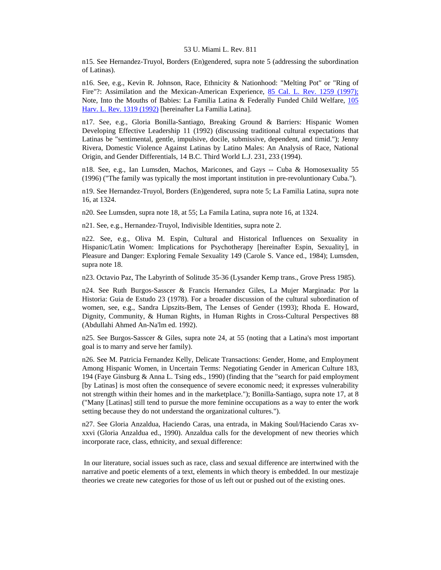n15. See Hernandez-Truyol, Borders (En)gendered, supra note 5 (addressing the subordination of Latinas).

n16. See, e.g., Kevin R. Johnson, Race, Ethnicity & Nationhood: "Melting Pot" or "Ring of Fire"?: Assimilation and the Mexican-American Experience, [85 Cal. L. Rev. 1259 \(1997\);](http://www.lexis.com/research/xlink?searchtype=get&search=85%20Calif.%20L.%20Rev.%201259) Note, Into the Mouths of Babies: La Familia Latina & Federally Funded Child Welfare, [105](http://www.lexis.com/research/xlink?searchtype=get&search=105%20Harv.%20L.%20Rev.%201319)  [Harv. L. Rev. 1319 \(1992\)](http://www.lexis.com/research/xlink?searchtype=get&search=105%20Harv.%20L.%20Rev.%201319) [hereinafter La Familia Latina].

n17. See, e.g., Gloria Bonilla-Santiago, Breaking Ground & Barriers: Hispanic Women Developing Effective Leadership 11 (1992) (discussing traditional cultural expectations that Latinas be "sentimental, gentle, impulsive, docile, submissive, dependent, and timid."); Jenny Rivera, Domestic Violence Against Latinas by Latino Males: An Analysis of Race, National Origin, and Gender Differentials, 14 B.C. Third World L.J. 231, 233 (1994).

n18. See, e.g., Ian Lumsden, Machos, Maricones, and Gays -- Cuba & Homosexuality 55 (1996) ("The family was typically the most important institution in pre-revoluntionary Cuba.").

n19. See Hernandez-Truyol, Borders (En)gendered, supra note 5; La Familia Latina, supra note 16, at 1324.

n20. See Lumsden, supra note 18, at 55; La Famila Latina, supra note 16, at 1324.

n21. See, e.g., Hernandez-Truyol, Indivisible Identities, supra note 2.

n22. See, e.g., Oliva M. Espin, Cultural and Historical Influences on Sexuality in Hispanic/Latin Women: Implications for Psychotherapy [hereinafter Espin, Sexuality], in Pleasure and Danger: Exploring Female Sexuality 149 (Carole S. Vance ed., 1984); Lumsden, supra note 18.

n23. Octavio Paz, The Labyrinth of Solitude 35-36 (Lysander Kemp trans., Grove Press 1985).

n24. See Ruth Burgos-Sasscer & Francis Hernandez Giles, La Mujer Marginada: Por la Historia: Guia de Estudo 23 (1978). For a broader discussion of the cultural subordination of women, see, e.g., Sandra Lipszits-Bem, The Lenses of Gender (1993); Rhoda E. Howard, Dignity, Community, & Human Rights, in Human Rights in Cross-Cultural Perspectives 88 (Abdullahi Ahmed An-Na'lm ed. 1992).

n25. See Burgos-Sasscer & Giles, supra note 24, at 55 (noting that a Latina's most important goal is to marry and serve her family).

n26. See M. Patricia Fernandez Kelly, Delicate Transactions: Gender, Home, and Employment Among Hispanic Women, in Uncertain Terms: Negotiating Gender in American Culture 183, 194 (Faye Ginsburg & Anna L. Tsing eds., 1990) (finding that the "search for paid employment [by Latinas] is most often the consequence of severe economic need; it expresses vulnerability not strength within their homes and in the marketplace."); Bonilla-Santiago, supra note 17, at 8 ("Many [Latinas] still tend to pursue the more feminine occupations as a way to enter the work setting because they do not understand the organizational cultures.").

n27. See Gloria Anzaldua, Haciendo Caras, una entrada, in Making Soul/Haciendo Caras xvxxvi (Gloria Anzaldua ed., 1990). Anzaldua calls for the development of new theories which incorporate race, class, ethnicity, and sexual difference:

 In our literature, social issues such as race, class and sexual difference are intertwined with the narrative and poetic elements of a text, elements in which theory is embedded. In our mestizaje theories we create new categories for those of us left out or pushed out of the existing ones.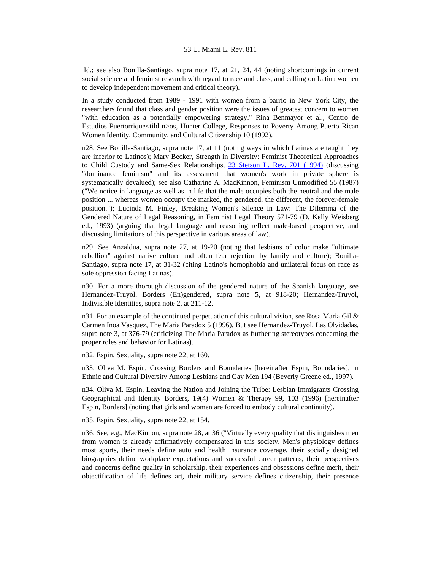Id.; see also Bonilla-Santiago, supra note 17, at 21, 24, 44 (noting shortcomings in current social science and feminist research with regard to race and class, and calling on Latina women to develop independent movement and critical theory).

In a study conducted from 1989 - 1991 with women from a barrio in New York City, the researchers found that class and gender position were the issues of greatest concern to women "with education as a potentially empowering strategy." Rina Benmayor et al., Centro de Estudios Puertorrique<tild n>os, Hunter College, Responses to Poverty Among Puerto Rican Women Identity, Community, and Cultural Citizenship 10 (1992).

n28. See Bonilla-Santiago, supra note 17, at 11 (noting ways in which Latinas are taught they are inferior to Latinos); Mary Becker, Strength in Diversity: Feminist Theoretical Approaches to Child Custody and Same-Sex Relationships, [23 Stetson L. Rev. 701 \(1994\)](http://www.lexis.com/research/xlink?searchtype=get&search=23%20Stetson%20L.%20Rev.%20701) (discussing "dominance feminism" and its assessment that women's work in private sphere is systematically devalued); see also Catharine A. MacKinnon, Feminism Unmodified 55 (1987) ("We notice in language as well as in life that the male occupies both the neutral and the male position ... whereas women occupy the marked, the gendered, the different, the forever-female position."); Lucinda M. Finley, Breaking Women's Silence in Law: The Dilemma of the Gendered Nature of Legal Reasoning, in Feminist Legal Theory 571-79 (D. Kelly Weisberg ed., 1993) (arguing that legal language and reasoning reflect male-based perspective, and discussing limitations of this perspective in various areas of law).

n29. See Anzaldua, supra note 27, at 19-20 (noting that lesbians of color make "ultimate rebellion" against native culture and often fear rejection by family and culture); Bonilla-Santiago, supra note 17, at 31-32 (citing Latino's homophobia and unilateral focus on race as sole oppression facing Latinas).

n30. For a more thorough discussion of the gendered nature of the Spanish language, see Hernandez-Truyol, Borders (En)gendered, supra note 5, at 918-20; Hernandez-Truyol, Indivisible Identities, supra note 2, at 211-12.

n31. For an example of the continued perpetuation of this cultural vision, see Rosa Maria Gil  $\&$ Carmen Inoa Vasquez, The Maria Paradox 5 (1996). But see Hernandez-Truyol, Las Olvidadas, supra note 3, at 376-79 (criticizing The Maria Paradox as furthering stereotypes concerning the proper roles and behavior for Latinas).

n32. Espin, Sexuality, supra note 22, at 160.

n33. Oliva M. Espin, Crossing Borders and Boundaries [hereinafter Espin, Boundaries], in Ethnic and Cultural Diversity Among Lesbians and Gay Men 194 (Beverly Greene ed., 1997).

n34. Oliva M. Espin, Leaving the Nation and Joining the Tribe: Lesbian Immigrants Crossing Geographical and Identity Borders, 19(4) Women & Therapy 99, 103 (1996) [hereinafter Espin, Borders] (noting that girls and women are forced to embody cultural continuity).

n35. Espin, Sexuality, supra note 22, at 154.

n36. See, e.g., MacKinnon, supra note 28, at 36 ("Virtually every quality that distinguishes men from women is already affirmatively compensated in this society. Men's physiology defines most sports, their needs define auto and health insurance coverage, their socially designed biographies define workplace expectations and successful career patterns, their perspectives and concerns define quality in scholarship, their experiences and obsessions define merit, their objectification of life defines art, their military service defines citizenship, their presence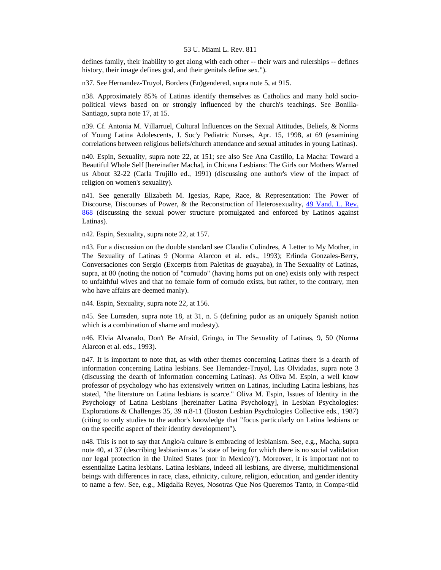defines family, their inability to get along with each other -- their wars and rulerships -- defines history, their image defines god, and their genitals define sex.").

n37. See Hernandez-Truyol, Borders (En)gendered, supra note 5, at 915.

n38. Approximately 85% of Latinas identify themselves as Catholics and many hold sociopolitical views based on or strongly influenced by the church's teachings. See Bonilla-Santiago, supra note 17, at 15.

n39. Cf. Antonia M. Villarruel, Cultural Influences on the Sexual Attitudes, Beliefs, & Norms of Young Latina Adolescents, J. Soc'y Pediatric Nurses, Apr. 15, 1998, at 69 (examining correlations between religious beliefs/church attendance and sexual attitudes in young Latinas).

n40. Espin, Sexuality, supra note 22, at 151; see also See Ana Castillo, La Macha: Toward a Beautiful Whole Self [hereinafter Macha], in Chicana Lesbians: The Girls our Mothers Warned us About 32-22 (Carla Trujillo ed., 1991) (discussing one author's view of the impact of religion on women's sexuality).

n41. See generally Elizabeth M. Igesias, Rape, Race, & Representation: The Power of Discourse, Discourses of Power, & the Reconstruction of Heterosexuality, [49 Vand. L. Rev.](http://www.lexis.com/research/xlink?searchtype=get&search=49%20Vand.%20L.%20Rev.%20868)  [868](http://www.lexis.com/research/xlink?searchtype=get&search=49%20Vand.%20L.%20Rev.%20868) (discussing the sexual power structure promulgated and enforced by Latinos against Latinas).

n42. Espin, Sexuality, supra note 22, at 157.

n43. For a discussion on the double standard see Claudia Colindres, A Letter to My Mother, in The Sexuality of Latinas 9 (Norma Alarcon et al. eds., 1993); Erlinda Gonzales-Berry, Conversaciones con Sergio (Excerpts from Paletitas de guayaba), in The Sexuality of Latinas, supra, at 80 (noting the notion of "cornudo" (having horns put on one) exists only with respect to unfaithful wives and that no female form of cornudo exists, but rather, to the contrary, men who have affairs are deemed manly).

n44. Espin, Sexuality, supra note 22, at 156.

n45. See Lumsden, supra note 18, at 31, n. 5 (defining pudor as an uniquely Spanish notion which is a combination of shame and modesty).

n46. Elvia Alvarado, Don't Be Afraid, Gringo, in The Sexuality of Latinas, 9, 50 (Norma Alarcon et al. eds., 1993).

n47. It is important to note that, as with other themes concerning Latinas there is a dearth of information concerning Latina lesbians. See Hernandez-Truyol, Las Olvidadas, supra note 3 (discussing the dearth of information concerning Latinas). As Oliva M. Espin, a well know professor of psychology who has extensively written on Latinas, including Latina lesbians, has stated, "the literature on Latina lesbians is scarce." Oliva M. Espin, Issues of Identity in the Psychology of Latina Lesbians [hereinafter Latina Psychology], in Lesbian Psychologies: Explorations & Challenges 35, 39 n.8-11 (Boston Lesbian Psychologies Collective eds., 1987) (citing to only studies to the author's knowledge that "focus particularly on Latina lesbians or on the specific aspect of their identity development").

n48. This is not to say that Anglo/a culture is embracing of lesbianism. See, e.g., Macha, supra note 40, at 37 (describing lesbianism as "a state of being for which there is no social validation nor legal protection in the United States (nor in Mexico)"). Moreover, it is important not to essentialize Latina lesbians. Latina lesbians, indeed all lesbians, are diverse, multidimensional beings with differences in race, class, ethnicity, culture, religion, education, and gender identity to name a few. See, e.g., Migdalia Reyes, Nosotras Que Nos Queremos Tanto, in Compa<tild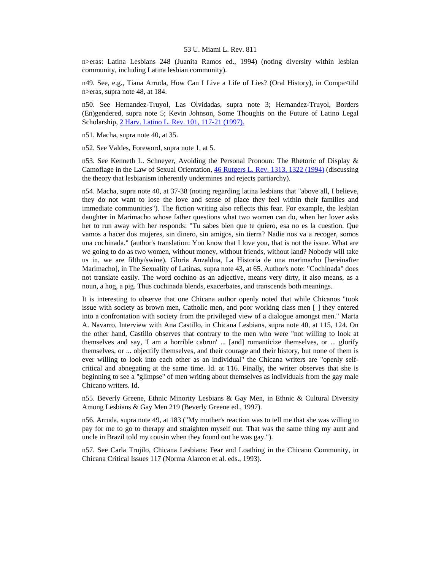n>eras: Latina Lesbians 248 (Juanita Ramos ed., 1994) (noting diversity within lesbian community, including Latina lesbian community).

n49. See, e.g., Tiana Arruda, How Can I Live a Life of Lies? (Oral History), in Compa<tild n>eras, supra note 48, at 184.

n50. See Hernandez-Truyol, Las Olvidadas, supra note 3; Hernandez-Truyol, Borders (En)gendered, supra note 5; Kevin Johnson, Some Thoughts on the Future of Latino Legal Scholarship, [2 Harv. Latino L. Rev. 101, 117-21 \(1997\).](http://www.lexis.com/research/xlink?searchtype=get&search=2%20Harv.%20Latino%20L.%20Rev.%20101,at%20117)

n51. Macha, supra note 40, at 35.

n52. See Valdes, Foreword, supra note 1, at 5.

n53. See Kenneth L. Schneyer, Avoiding the Personal Pronoun: The Rhetoric of Display & Camoflage in the Law of Sexual Orientation, [46 Rutgers L. Rev. 1313, 1322 \(1994\)](http://www.lexis.com/research/xlink?searchtype=get&search=46%20Rutgers%20L.%20Rev.%201313,at%201322) (discussing the theory that lesbianism inherently undermines and rejects partiarchy).

n54. Macha, supra note 40, at 37-38 (noting regarding latina lesbians that "above all, I believe, they do not want to lose the love and sense of place they feel within their families and immediate communities"). The fiction writing also reflects this fear. For example, the lesbian daughter in Marimacho whose father questions what two women can do, when her lover asks her to run away with her responds: "Tu sabes bien que te quiero, esa no es la cuestion. Que vamos a hacer dos mujeres, sin dinero, sin amigos, sin tierra? Nadie nos va a recoger, somos una cochinada." (author's translation: You know that I love you, that is not the issue. What are we going to do as two women, without money, without friends, without land? Nobody will take us in, we are filthy/swine). Gloria Anzaldua, La Historia de una marimacho [hereinafter Marimacho], in The Sexuality of Latinas, supra note 43, at 65. Author's note: "Cochinada" does not translate easily. The word cochino as an adjective, means very dirty, it also means, as a noun, a hog, a pig. Thus cochinada blends, exacerbates, and transcends both meanings.

It is interesting to observe that one Chicana author openly noted that while Chicanos "took issue with society as brown men, Catholic men, and poor working class men [ ] they entered into a confrontation with society from the privileged view of a dialogue amongst men." Marta A. Navarro, Interview with Ana Castillo, in Chicana Lesbians, supra note 40, at 115, 124. On the other hand, Castillo observes that contrary to the men who were "not willing to look at themselves and say, 'I am a horrible cabron' ... [and] romanticize themselves, or ... glorify themselves, or ... objectify themselves, and their courage and their history, but none of them is ever willing to look into each other as an individual" the Chicana writers are "openly selfcritical and abnegating at the same time. Id. at 116. Finally, the writer observes that she is beginning to see a "glimpse" of men writing about themselves as individuals from the gay male Chicano writers. Id.

n55. Beverly Greene, Ethnic Minority Lesbians & Gay Men, in Ethnic & Cultural Diversity Among Lesbians & Gay Men 219 (Beverly Greene ed., 1997).

n56. Arruda, supra note 49, at 183 ("My mother's reaction was to tell me that she was willing to pay for me to go to therapy and straighten myself out. That was the same thing my aunt and uncle in Brazil told my cousin when they found out he was gay.").

n57. See Carla Trujilo, Chicana Lesbians: Fear and Loathing in the Chicano Community, in Chicana Critical Issues 117 (Norma Alarcon et al. eds., 1993).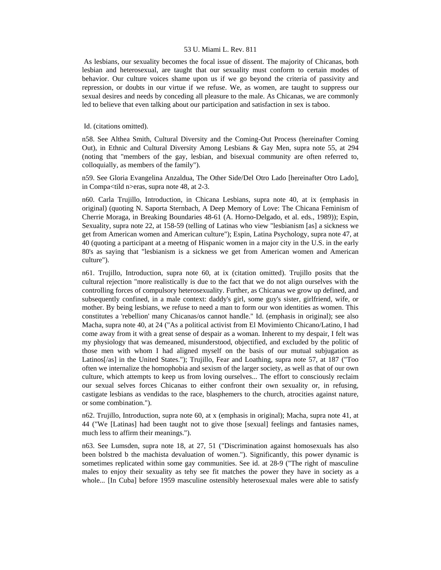As lesbians, our sexuality becomes the focal issue of dissent. The majority of Chicanas, both lesbian and heterosexual, are taught that our sexuality must conform to certain modes of behavior. Our culture voices shame upon us if we go beyond the criteria of passivity and repression, or doubts in our virtue if we refuse. We, as women, are taught to suppress our sexual desires and needs by conceding all pleasure to the male. As Chicanas, we are commonly led to believe that even talking about our participation and satisfaction in sex is taboo.

### Id. (citations omitted).

n58. See Althea Smith, Cultural Diversity and the Coming-Out Process (hereinafter Coming Out), in Ethnic and Cultural Diversity Among Lesbians & Gay Men, supra note 55, at 294 (noting that "members of the gay, lesbian, and bisexual community are often referred to, colloquially, as members of the family").

n59. See Gloria Evangelina Anzaldua, The Other Side/Del Otro Lado [hereinafter Otro Lado], in Compa<tild n>eras, supra note 48, at 2-3.

n60. Carla Trujillo, Introduction, in Chicana Lesbians, supra note 40, at ix (emphasis in original) (quoting N. Saporta Sternbach, A Deep Memory of Love: The Chicana Feminism of Cherrie Moraga, in Breaking Boundaries 48-61 (A. Horno-Delgado, et al. eds., 1989)); Espin, Sexuality, supra note 22, at 158-59 (telling of Latinas who view "lesbianism [as] a sickness we get from American women and American culture"); Espin, Latina Psychology, supra note 47, at 40 (quoting a participant at a meetng of Hispanic women in a major city in the U.S. in the early 80's as saying that "lesbianism is a sickness we get from American women and American culture").

n61. Trujillo, Introduction, supra note 60, at ix (citation omitted). Trujillo posits that the cultural rejection "more realistically is due to the fact that we do not align ourselves with the controlling forces of compulsory heterosexuality. Further, as Chicanas we grow up defined, and subsequently confined, in a male context: daddy's girl, some guy's sister, girlfriend, wife, or mother. By being lesbians, we refuse to need a man to form our won identities as women. This constitutes a 'rebellion' many Chicanas/os cannot handle." Id. (emphasis in original); see also Macha, supra note 40, at 24 ("As a political activist from El Movimiento Chicano/Latino, I had come away from it with a great sense of despair as a woman. Inherent to my despair, I felt was my physiology that was demeaned, misunderstood, objectified, and excluded by the politic of those men with whom I had aligned myself on the basis of our mutual subjugation as Latinos[/as] in the United States."); Trujillo, Fear and Loathing, supra note 57, at 187 ("Too often we internalize the homophobia and sexism of the larger society, as well as that of our own culture, which attempts to keep us from loving ourselves... The effort to consciously reclaim our sexual selves forces Chicanas to either confront their own sexuality or, in refusing, castigate lesbians as vendidas to the race, blasphemers to the church, atrocities against nature, or some combination.").

n62. Trujillo, Introduction, supra note 60, at x (emphasis in original); Macha, supra note 41, at 44 ("We [Latinas] had been taught not to give those [sexual] feelings and fantasies names, much less to affirm their meanings.").

n63. See Lumsden, supra note 18, at 27, 51 ("Discrimination against homosexuals has also been bolstred b the machista devaluation of women."). Significantly, this power dynamic is sometimes replicated within some gay communities. See id. at 28-9 ("The right of masculine males to enjoy their sexuality as tehy see fit matches the power they have in society as a whole... [In Cuba] before 1959 masculine ostensibly heterosexual males were able to satisfy